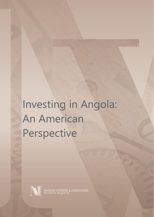# Investing in Angola: An American Perspective



MACEDO VITORINO & ASSOCIADOS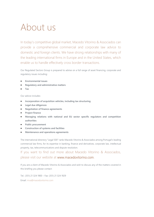### About us

In today's competitive global market, Macedo Vitorino & Associados can provide a comprehensive commercial and corporate law advice to domestic and foreign clients. We have strong relationships with many of the leading international firms in Europe and in the United States, which enable us to handle effectively cross border transactions.

Our Regulated Sectors Group is prepared to advise on a full range of asset financing, corporate and regulatory issues including:

- **Environmental issues**
- **Regulatory and administrative matters**
- **Tax**

Our advice includes:

- **Incorporation of acquisition vehicles, including tax structuring**
- **Legal due diligences**
- **Negotiation of finance agreements**
- **Project finance**
- **Managing relations with national and EU sector specific regulators and competition authorities**
- **Public procurement**
- **Construction of systems and facilities**
- **Maintenance and operations agreements**

The international directory "Legal 500" ranks Macedo Vitorino & Associados among Portugal's leading commercial law firms, for its expertise in banking, finance and derivatives, corporate law, intellectual property, tax, telecommunications and dispute resolution.

If you want to find out more about Macedo Vitorino & Associados, please visit our website at www.macedovitorino.com.

If you are a client of Macedo Vitorino & Associados and wish to discuss any of the matters covered in this briefing you please contact:

Tel.: (351) 21 324 1900 – Fax: (351) 21 324 1929 Email: [mva@macedovitorino.com](mailto:mva@macedovitorino.com)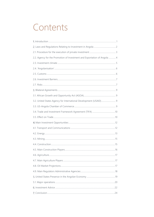### Contents

| 2.2. Agency for the Promotion of Investment and Exportation of Angola  4 |    |
|--------------------------------------------------------------------------|----|
|                                                                          |    |
|                                                                          |    |
|                                                                          |    |
|                                                                          |    |
|                                                                          |    |
|                                                                          |    |
|                                                                          |    |
|                                                                          |    |
|                                                                          |    |
|                                                                          |    |
|                                                                          |    |
|                                                                          |    |
|                                                                          |    |
|                                                                          |    |
|                                                                          |    |
|                                                                          |    |
|                                                                          |    |
|                                                                          | 17 |
|                                                                          |    |
|                                                                          |    |
|                                                                          |    |
|                                                                          |    |
|                                                                          |    |
|                                                                          |    |
|                                                                          |    |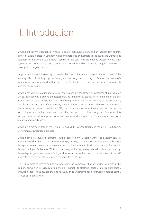### Introduction

Angola, officially the Republic of Angola, is an ex-Portuguese colony and an independent country since 1975. It is located in [Southern Africa](https://en.wikipedia.org/wiki/Southern_Africa) and bordered by [Namibia](https://en.wikipedia.org/wiki/Namibia) to the south, the [Democratic](https://en.wikipedia.org/wiki/Democratic_Republic_of_the_Congo)  [Republic of the Congo](https://en.wikipedia.org/wiki/Democratic_Republic_of_the_Congo) to the north, [Zambia](https://en.wikipedia.org/wiki/Zambia) to the east, and the [Atlantic Ocean](https://en.wikipedia.org/wiki/Atlantic_Ocean) to west. With 1,246,700 km2 of total area and a population around 24 million of people, Angola is the world's twenty-third largest country.

Angola´s capital and largest city is Luanda, that lies on the Atlantic coast in the northwest of the country. The official language is Portuguese and Angola´s currency is Kwanza. The country´s Administration in organized in three levels: the Central Government, the Provincial Governments and the municipalities.

Angola has vast petroleum and mineral reserves and it´s the largest oil producer of sub-Saharan Africa. Its economy is among the fastest growing in the world, especially since the end of the civil war, in 2002. In spite of this, the standard of living remains low for the majority of the population, and [life expectancy](https://en.wikipedia.org/wiki/Life_expectancy) and [infant mortality rates](https://en.wikipedia.org/wiki/Infant_mortality) in Angola are still among the worst in the world. Nevertheless, Angola´s Constitution (2010) contains mandatory rules focused on the construction of a democratic welfare state and since the end of the civil war Angola´s Government is progressively aimed to improve social and economic development in the country as well as to create a new middle class.

Angola is a member state of the United Nations, [OPEC,](https://en.wikipedia.org/wiki/OPEC) [African Union](https://en.wikipedia.org/wiki/African_Union) and the CPLP - *[Community](https://en.wikipedia.org/wiki/Community_of_Portuguese_Language_Countries)  [of Portuguese Language Countries](https://en.wikipedia.org/wiki/Community_of_Portuguese_Language_Countries)*.

Angola can be a country of extremes. In the space of only 40 years it witnessed a violent conflict, which resulted in the separation from Portugal, in 1975; a 27 year long civil war, which brought hunger, extreme poverty and a severe economic downturn until 2002; and a period of economic boom, starting as far back as 2005 and continuing to this day, mainly due to its oil and gas industry. Nowadays Angola´s economy is facing a slowdown due to the crash of the oil price but the IMF estimates a recovery of the country´s economy from 2017 on.

This study aims to inform and advise any American companies that are willing to invest in the region, being it in its already established oil market, its electricity sector, infrastructure sector, including roads, housing, airports and railways, or its underdeveloped renewable energies sector, as well as in agriculture.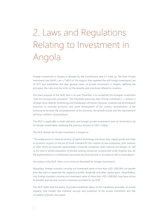## 2. Laws and Regulations Relating to Investment in Angola

Foreign investment in Angola is allowed by the Constitution and it´s ruled by The New Private Investment Law (NLIP), Law n.º 14/15 of 11th August, that repealed the old Foreign Investment Law of 2011 and establishes the new general bases of private investment in Angola, defining the principles, the rules and the limits on the benefits and incentives offered to investors.

The main purpose of the NLIP, sets in its own Preamble, is to accelerate the foreigner investment "*with less bureaucratic procedure".* The Preamble expresses that "*Private investment (…) remains a strategic focus state for fundraising and mobilization of human, financial, material and technological resources, to promote economic and social development of the country, diversification of the economy to increase the competitiveness of the economy, the growth of jobs and the improvement of living conditions of populations".*

The NILP is applicable to both domestic and foreign private investments and no threshold is set for foreign investments, replacing the previous amount of USD 1 million.

The NLIP defines the Private Investment in Angola as:

*"The employment in national territory of capital, technology and know-how, capital goods and other in economic projects or the use of funds intended for the creation of new companies, joint ventures or other forms of corporate representation of private companies, both national and foreign, as well as the total or partial acquisition of already existing companies incorporated under Angolan law, for the implementation or maintenance of a particular financial year in accordance with is social objects".*

According to the NLIP, there is no minimum threshold for foreign investments.

Nowadays, foreign investors carrying out investment value of less than USD 1,000,000 can benefit from the right to repatriate the respective profits, dividends and other capital gains. Nevertheless, only foreign investors carrying out investment value of more than USD 1,000,000, may have access to benefits and tax and customs incentives provided for by NLIP.

The NLIP states that the policy of private investment obeys to the mandatory principles of *private property*, *free market*, *free initiative*, *security* and *protection of the private investment* and *free circulation of goods and capital*.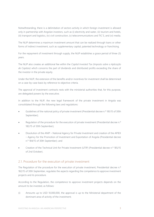Notwithstanding, there is a delimitation of sectors activity in which foreign investment is allowed only in partnership with Angolan investors, such as (i) electricity and water, (ii) tourism and hotels, (iii) transport and logistics, (iv) civil construction, (v) telecommunications and TIC´S, and (vi) media.

The NLIP determines a maximum investment amount that can be realized through loans or other forms of indirect investment, such as supplementary capital, patented technology or franchising.

For the repayment of investment through supply, the NLIP establishes a grace period of three (3) years.

The NLIP also creates an additional fee within the *Capital Invested Tax (Imposto sobre a Aplicação de Capitais)* which concerns the part of dividends and distributed profits exceeding the share of the investor in the private equity.

Under the NLIP, the extension of the benefits and/or incentives for investment shall be determined on a case-by-case basis by reference to objective criteria.

The approval of investment contracts rests with the ministerial authorities that, for this purpose, are delegated powers by the executive.

In addition to the NLIP, the new legal framework of the private investment in Angola was consolidated through the following laws and regulations:

- Guidelines of the national policy of private investment (Presidential decree n.º 181/15 of 30th September);
- Regulation of the procedure for the execution of private investment (Presidential decree n.º 182/15 of 30th September);
- Dissolution of the ANIP National Agency for Private Investment and creation of the APIEX – Agency for the Promotion of Investment and Exportation of Angola (Presidential decree n.º 184/15 of 30th September); and
- Creation of the Technical Unit for Private Investment (UTIP) (Presidential decree n.º 185/15 of 2nd October).

#### 2.1. Procedure for the execution of private investment

The Regulation of the procedure for the execution of private investment, Presidential decree n.º 182/15 of 30th September, regulates the aspects regarding the competence to approve investment projects and its procedure.

According to the Regulation, the competence to approve investment projects depends on the amount to be invested, as follows:

(i) Amounts up to USD 10,000,000, the approval is up to the Ministerial department of the dominant area of activity of the investment;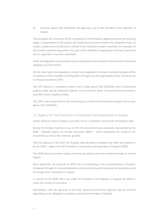(ii) Amounts above USD 10,000,000, the approval is up to the President of the Republic of Angola.

The procedure for investment of the competence of the Ministerial departments has the following stages (i) presentation of the project and supporting documents before the competent body, (ii) analysis, assessment and decision or refusal of the investment project submitted, (iii) execution of the Private Investment Agreement, (iv) issue of the certificate of registration of private investment and (v) registration of private investment.

Under the Regulation, tax incentives may be suspended and revoked for failure to fulfil contractual obligations by the investor.

On the other hand, the preparation, conduct and negotiation of private investment projects of the competence of the President of the Republic of Angola are the responsibility of the Technical Unit for Private Investment (UTIP).

The UTIP attends (i) investment projects with a value above USD 10,000,000 and (ii) investment projects under special investment regimes, such as financial sector, mining and diamond industry and other sectors legally provided.

The UTIP is also responsible for the monitoring and control of the investment projects with a value above USD 10,000,000.

#### 2.2. Agency for the Promotion of Investment and Exportation of Angola

Parties willing to invest in Angola must enter into an investment contract with the Angolan state.

During the Foreign Investment Law of 2011, the Government was exclusively represented by the ANIP – National Agency for Private Investment (ANIP) – which established the conditions for investments as well as the incentives granted.

After the approval of the NLIP, the Angolan state decided to extinguish the ANIP and replaced it by the APIEX – Agency for the Promotion of Investment and Exportation of Angola (APIEX).

The APIEX aims to promote, capture and keep up projects of private investment inside or outside Angola.

More specifically, the purposes of APIEX are (i) contributing to the competitiveness of Angolan companies through its internationalization and (ii) promoting and increasing the exportations and the foreign direct investment in Angola.

In contrast to the ANIP which was under the President of the Republic of Angola, the APIEX is under the ministry of commerce.

Nevertheless, with the approval of the NLIP, several governmental agencies may be involved depending on the delegation of powers issued by the President of Republic.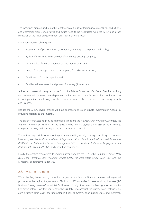The incentives granted, including the repatriation of funds for foreign investments, tax deductions, and exemption from certain taxes and duties need to be negotiated with the APIEX and other ministries of the Angolan government on a "case-by-case" basis.

Documentation usually required:

- Presentation of proposal form (description, inventory of equipment and facility);
- By-laws if investor is a shareholder of an already existing company;
- Draft articles of incorporation for the creation of company;
- Annual financial reports for the last 3 years, for individual investors;
- Certificate of financial capacity; and
- Certified criminal record and power of attorney (if necessary).

A licence to invest will be given in the form of a *Private Investment Certificate*. Despite this long and bureaucratic process, these steps are essential in order to take further business action such as importing capital, establishing a local company or branch office or require the necessary permits and licences.

Besides the APIEX, several entities will have an important role in private investment in Angola by providing facilities to the investor.

The entities entrusted to provide financial facilities are the *(Public) Fund of Credit Guarantee*, the *Angolan Development Bank (BDA)*, the *Public Fund of Venture Capital*, the *Investment Fund to Large Companies (FIGEA)* and banking financial institutions in general.

The entities responsible for supporting entrepreneurship, namely training, consulting and business incubator, are the *National Institute of Support to Micro, Small and Medium-sized Enterprises (INAPEM)*, the *Institute for Business Development (IFE)*, the *National Institute of Employment and Professional Training (INEFOP)* and consulting companies.

Finally, the entities empowered to reduce bureaucracy are the *APIEX*, the *Companies Single Desk (GUE)*, the *Foreigners and Migration Service (SME)*, the *Real Estate Single Desk (GUI)* and the Ministerial departments in general.

#### 2.3. Investment climate

Whilst the Angolan economy is the third largest in sub-Saharan Africa and the second largest oil producer in the region, Angola ranks 172nd out of 183 countries for ease of doing business (IFC Business "doing business" report 2012). However, foreign investment is flowing into the country like never before. Investors must, nevertheless, take into account the bureaucratic inefficiencies, administrative extra costs, the undeveloped financial system, poor infrastructure and extremely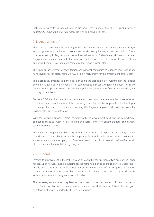high operating costs. Despite all this, the Financial Times suggests that the "*significant business opportunities [in Angola] may well justify the time and effort involved*".

#### 2.4. 'Angolanisation'

This is a key requirement for investing in the country. Presidential decrees n.º 5/95 and n.º 6/01 encourage the 'Angolanisation of companies' workforce by limiting expatriate staffing of local companies set up in Angola by national or foreign investors to 30% of the workforce and requires Angolan and expatriate staff with the same jobs and responsibilities to receive the same salaries and social benefits. However, enforcement of these laws is inconsistent.

The Angolan government expects foreign and national companies to prioritise local labour and have several rules in place, namely a 70/30 split in recruitment for the employment of local staff.

This is especially emphasised in the oil sector, as it is the biggest area of investment in the Angolan economy. A 2008 decree law requires oil companies to first seek Angolan employees to fill any vacant position prior to seeking expatriate appointment, which must first be authorised by the ministry of petroleum

Decree n.º 5/95 further states that expatriate employees won't receive more than three renewals to their one year visas, for a total of three to four years in the country. Approval for the fourth year is contingent upon the companies identifying the Angolan employee who will take over the position after the expatriate leaves.

With the oil and diamond sectors, contracts with the government spell out the commitments companies make to invest in infrastructure and social services to benefit the local communities such as building schools.

This imperative requirement by the government can be a challenging one and salary is a key consideration. The market is extremely competitive for reliable skilled labour, which is something Angolans are, for the most part, not. Companies tend to recruit and re-train their staff especially after investing in them with training programs.

#### 2.5. Customs

Despite its improvement in the last few years through the construction of two dry ports in Lobito for container storage, Angola's customs service remains a barrier to the region's markets. This is largely due to bureaucratic inefficiencies. For example, the import of certain goods into Angola requires an import license issued by the ministry of commerce and others may need specific authorization from various government ministries.

This necessary authorization may lead to bureaucratic blocks that can result in delays and extra costs. The import license is annually renewable and covers all shipments of the authorized good or category of goods imported by the licensed importer.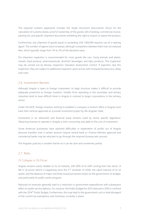The required customs paperwork includes the *Single Document (Documento Único)* for the calculation of customs duties, proof of ownership of the goods, bill of landing, commercial invoice, packing list, and specific shipment documents exhibiting the right to import or export the product.

Furthermore, any shipment of goods equal or exceeding US\$ 1,000,000 requires use of a clearing agent. The number of agents have increased, although competition between them has not reduced fees, which typically range from 1% to 2% of the declared value.

Pre shipment inspection is recommended for most goods like cars, living animals and plants, cereals, food produce, pharmaceuticals, alcoholic beverages, and dairy products. This inspection may be carried out by Bureau Inspection Valuation Assessment Control. If exporters skip this inspection, they are subject to additional inspection upon arrival, with increased bureaucracy, delay and costs.

#### 2.6. Investment Barriers

Although Angola is open to foreign investment, its legal structure makes it difficult to provide adequate protection to foreign investors. Smaller firms operating in the secondary and tertiary industries tend to have difficult times in Angola in contrast to larger corporations in the primary sector.

Under the NLIP, foreign investors wishing to establish a company or branch office in Angola must have their venture approved as a *private investment project* by the Angolan State.

Investment in oil, diamonds and financial areas remains ruled by sector specific legislation. Obtaining licenses to operate in Angola is time-consuming and adds to the cost of investment.

Some American businesses have reported difficulties in repatriation of profits out of Angola because transfers over a certain amount require central bank or Finance Ministry approval and commercial banks may be reluctant to go through the required bureaucratic process.

The Angolan judiciary is another barrier as it can be slow and sometimes partial.

#### 2.7. Risks

#### (1) Collapse in Oil Prices

Angola remains overly reliable on its oil industry, with 90% of its GDP coming from the sector. A fall in oil prices (which is happening since the  $2<sup>nd</sup>$  semester of 2014), the rapid maturity of its oil assets, and the absence of major new finds would put severe strains on the government, its budget, and particularly its public works program.

Reduced oil revenues generally lead to a reduction in government expenditures with subsequent effect on public service delivery. For instance: the Public Budget for 2015 reduced in 50% in confront with the 2014<sup>th</sup> Public Budget. Furthermore, this may lead to the government cuts or total disregard of the current tax exemptions and incentives currently in place.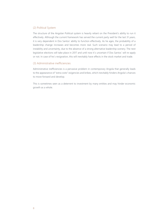#### (2) Political System

The structure of the Angolan Political system is heavily reliant on the President's ability to run it effectively. Although the current framework has served the current party well for the last 31 years, it is very dependent in Dos Santos' ability to function effectively. As he ages, the probability of a leadership change increases and becomes more real. Such scenario may lead to a period of instability and uncertainty, due to the absence of a strong alternative leadership scenery. The next legislative elections will take place in 2017 and until now it´s uncertain if Dos Santos´ will re-apply or not. In case of he´s resignation, this will inevitably have effects in the stock market and trade.

#### (3) Administrative inefficiencies

Administrative inefficiencies is a pervasive problem in contemporary Angola that generally leads to the appearance of "extra costs" exigencies and bribes, which inevitably hinders Angola's chances to move forward and develop.

This is sometimes seen as a deterrent to investment by many entities and may hinder economic growth as a whole.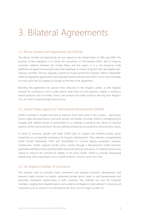### Bilateral Agreements

#### 3.1. African Growth and Opportunity Act (AGOA)

The *African Growth and Opportunity Act* was signed by the United States on 18th may 2000. The purpose of this legislation is to assist the economies of sub-Saharan Africa and to improve economic relations between the United States and the region. It is a non-reciprocal trade preference program that provides duty free treatment of certain US goods from the eligible sub-Saharan countries. The Act originally covered an 8 year period from October 2000 to September 2008, but legislative agreements have extended AGOA until the end of 2015. As we reach that date, it is now up to the US congress to decide on the fate of the agreement.

Recently, this agreement has gained more relevance in the Angolan sphere, as the Angolan minister for commerce is set to make sectors other than oil more dynamic. Angola is aiming to export products such as lumber, honey, sea produce and other products deriving from Angola's rich, yet rather unexplored agricultural sector.

#### 3.2. United States Agency for International Development (USAID)

USAID is present in Angola and aims to improve three main areas in this country - democracy, human rights and governance; economic growth; and health. Currently, USAID is strengthening its linkages with different levels of government in an attempt to enhance the reform of national systems; at the community level, they are seeking to boost key social services and economic inputs.

In terms of economic growth and trade, USAID aims to support and mobilise private sector investment as a sustainable mechanism for Angola's development. They maintain a longstanding Public Private Partnership (PPP) with ExxonMobil to co-fund malaria prevention activities. Furthermore, USAID supports private sector activity through a Development Credit Authority guarantee with Banco Keve and Kixicrédito (two local banking institutions), to mobilise local private capital to improve the commercial viability of the local market. USAID is currently developing partnerships with corporations such as General Electric, Chevron and Coca-Cola.

#### 3.3. US-Angola Chamber of Commerce

The chamber aims to promote trade, investment and Angolan economic development and sponsors trade missions to Angola, represents private sector views to both governments and promotes investment opportunities in both countries. The chamber has over 90 corporate members, ranging from Angolan banks such as Banco de Negócios International; to American oil companies such as Chevron; to multinational law firms such as Hogan Lovells LLP.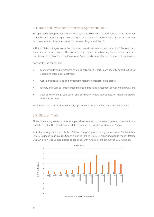#### 3.4. Trade and Investment Framework Agreement (TIFA)

Set up in 2009, TIFA provides a forum to access trade issues such as those related to the protection of intellectual property rights, worker rights, and labour or environmental issues and to help improve trade and investment relations between Angola and the US.

A United States – Angola council on trade and Investment was formed under the TIFA to address trade and investment issues. This council has a key role in advancing the common trade and investment interests of the United States and Angola and in strengthening their overall relationship.

Specifically, the council shall:

- Monitor trade and investment relations between the parties and identify opportunities for expanding trade and investment;
- Consider specific trade and investment matters of interest to the parties;
- Identify and work to remove impediments to trade and investment between the parties; and
- Seek advice of the private sector and civil society, where appropriate, on matters related to the council's work.

Furthermore the council aims to identify opportunities for expanding trade and investment.

#### 3.5. Effect on Trade

These bilateral agreements serve as a partial explanation to the recent general investment data published by the US Department of State regarding the investment climate in Angola.

As it stands, Angola is currently the USA's 46th largest goods trading partner with US\$ 10.2 billion in total in goods trade in 2013. Goods exported totaled USD\$ 1.5 billion and goods imports totaled US\$ 8.7 billion. The US has a trade goods deficit with Angola of the amount of US\$ 7.2 billion.

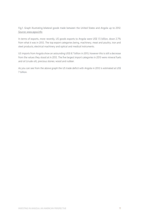Fig.1. Graph illustrating bilateral goods trade between the United States and Angola up to 2012. Source: www.agoa.info

In terms of exports, more recently, US goods exports to Angola were US\$ 1.5 billion, down 2.7% from what it was in 2012. The top export categories being, machinery, meat and poultry, iron and steel products, electrical machinery and optical and medical instruments.

US imports from Angola show an astounding US\$ 8.7 billion in 2013, however this is still a decrease from the values they stood at in 2012. The five largest import categories in 2013 were mineral fuels and oil (crude oil), precious stones, wood and rubber.

As you can see from the above graph the US trade deficit with Angola in 2012 is estimated at US\$ 7 billion.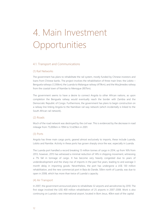## Main Investment Opportunities

#### 4.1. Transport and Communications

#### (1) Rail Networks

The government has plans to rehabilitate the rail system, mostly funded by Chinese investors and loans from Chinese banks. The project involves the rehabilitation of three main lines: the Lobito – Benguela railways (1,336km); the Luanda to Malangue railway (479km); and the Moçâmedes railway from the coastal town of Namibe to Menogue (907km).

The government seems to have a desire to connect Angola to other African nations, as upon completion the Benguela railway would eventually reach the border with Zambia and the Democratic Republic of Congo. Furthermore, the government has plans to begin construction on a railway line linking Angola to the Namibian rail way network (which incidentally is linked to the South African rail network).

#### (2) Roads

Much of the road network was destroyed by the civil war. This is evidenced by the decrease in road mileage from 75,000km in 1994 to 51,429km in 2001.

#### (3) Ports

Angola has three main cargo ports, geared almost exclusively to imports, these include Luanda, Lobito and Namibe. Activity in these ports has grown sharply since the war, especially in Luanda.

The Luanda port handled a record breaking 13 million tonnes of cargo in 2014, up from 16% from 2013, however, 2015 has witnessed a minimal reduction of 14% in shipping movement, witnessing a 7% fall in tonnage of cargo. It has become very heavily congested due to years of underdevelopment and the sharp rise of imports in the past five years, leading to and average 3 month delay in importing goods. Nevertheless, the port has undergone a US\$ 130 million rehabilitation, and the new commercial port in Baia do Dande, 50km north of Luanda, was due to open in 2008, which has more than twice of Luanda's capacity.

#### (4) Air Transport

In 2007, the government announced plans to rehabilitate 32 airports and aerodromes by 2010. The first stage involved the US\$ 400 million rehabilitation of 25 airports in 2007-2008. Work is also continuing on Luanda's new international airport, located in Bom Jesus, 40km east of the capital.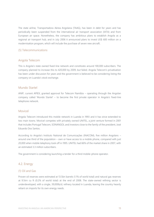The state airline, Transportadora Aérea Angolana (TAAG), has been in debt for years and has periodically been suspended from the international air transport association (IATA) and from European air space. Nonetheless, the company has ambitious plans to establish Angola as a regional air transport hub, and in July 2006 it announced plans to invest US\$ 600 million on a modernisation program, which will include the purchase of seven new aircraft.

#### (5) Telecommunications

#### Angola Telecom

This is Angola's state owned fixed-line network and constitutes around 100,000 subscribers. The company planned to increase this to 420,000 by 2009, but failed. Angola Telecom's privatisation has been under discussion for years and the government is believed to be considering listing the company on Luanda's stock exchange.

#### Mundo Startel

ANIP, current APIEX, granted approval for Telecom Namibia – operating through the Angolan company called 'Mundo Startel' – to become the first private operator in Angola's fixed-line telephone network.

#### Movicel

Angola Telecom introduced this mobile network in Luanda in 1993 and it has since extended to two main towns. Movicel competes with privately owned UNITEL, a joint venture formed in 2001 that includes Portugal Telecom, SONANGOL and investors close to the family of the president, José Eduardo Dos Santos.

According to Angola's Instituto National de Comunicações (INACOM), five million Angolans – around one third of the population – own or have access to a mobile phone, compared with just 20,000 when mobile telephony took off in 1995. UNITEL had 66% of the market share in 2007, with an estimated 3.3 million subscribers.

The government is considering launching a tender for a third mobile-phone operator.

#### 4.2. Energy

#### (1) Oil and Gas

Proven oil reserves were estimated at 13.5bn barrels (1.1% of world total) and natural gas reserves at 9.5trn cu ft (0.2% of world total) at the end of 2008. The state-owned refining sector is underdeveloped, with a single, 39,000b/d, refinery located in Luanda, leaving the country heavily reliant on imports for its own energy needs.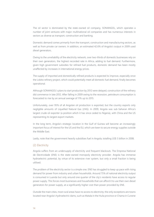The oil sector is dominated by the state-owned oil company, SONANGOL, which operates a number of joint ventures with major multinational oil companies and has numerous interests in sectors as diverse as transport, construction and banking.

Domestic demand comes primarily from the transport, construction and manufacturing sectors, as well as from private car owners. In addition, an estimated 42.6% of Angola's output in 2009 used diesel generators.

Owing to the unreliability of the electricity network, over two-thirds of domestic businesses rely on their own generators, the highest recorded rate in Africa, adding to fuel demand. Furthermore, given high government subsidies for refined fuel products, domestic demand has been mostly unaffected by increases in international energy prices.

The supply of imported and domestically refined products is expected to improve, especially once the Lobito refinery project, which could potentially meet all domestic fuel demand, finally becomes operational.

Although SONANGOL's plans to start production by 2012 were delayed, construction of the refinery did commence in late 2012. After falling in 2009 owing to the recession, petroleum consumption is forecasted to rise by an annual average of 11% up to 2015.

Unfortunately, over 95% of all Angolan oil production is exported, but the country exports only negligible amounts of Liquefied Natural Gas (LNG). In 2009, Angola was sub-Saharan Africa's largest crude oil exporter (a position which it has since ceded to Nigeria), with China and the US representing its largest export markets.

In the long term, Angola's strategic location in the Gulf of Guinea will become an increasingly important focus of interest for the US and the EU, which are keen to secure energy supplies outside the Middle East.

Lastly, note that the government heavily subsidises fuel in Angola, totalling US\$ 5 billion in 2008.

#### (2) Electricity

Angola suffers from an undersupply of electricity and frequent blackouts. The Empresa National de Electricidade (ENE) is the state-owned monopoly electricity provider. Angola has immense hydroelectric potential, by virtue of its extensive river system, but only a small fraction is being utilised.

The problem of the electricity sector is a simple one. ENE has struggled to keep up pace with rising demand for power from industry and urban households. Around 75% of national electricity output is consumed in Luanda but only around one quarter of the city's residents have access to regular power supply. This forces most businesses and households that can afford it to use their own diesel generators for power supply, at a significantly higher cost than power provided by ENE.

Outside the main cities, most rural areas have no access to electricity; the only exceptions are towns located near Angola's hydroelectric dams, such as Matala in the Huila province or Chama in Cunene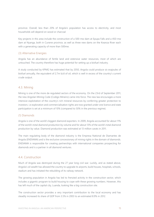province. Overall, less than 20% of Angola's population has access to electricity, and most households will depend on wood or charcoal

Key projects in this area include the construction of a 500-mw dam at Epupa Falls and a 450-mw dam at Nyanga, both in Cunene province, as well as three new dams on the Kwanza River each with a generating capacity of more than 500mw.

#### (3) Alternative Energies

Angola has an abundance of fertile land and extensive water resources, most of which are untouched. The country therefore has huge potential for setting up a biofuel industry.

A study conducted by KPMG has estimated that by 2050, Angola could produce six exajoules of biofuel annually, the equivalent of 2.7m b/d of oil, which is well in excess of the country's current crude output.

#### 4.3. Mining

Mining is one of the more de-regulated sectors of the economy. On the 23rd of September 2011, the new Angolan Mining Code (Codigo Mineiro) came into force. The new law encourages a more intensive exploitation of the country's rich mineral resources by conferring greater protection to investors. i.e exploration and commercialisation rights are now granted under one licence and state participation is set at a minimum of 10% (compared to 50% in the previous regime).

#### (1) Diamonds

Angola is one of the world's biggest diamond exporters. In 2009, Angola accounted for about 11% of the world's total diamond production by volume and for about 13% of the world's total diamond production by value. Diamond production was estimated at 13 million carats in 2011.

The main regulating body of the diamond industry is the Empresa National de Diamantes de Angola (ENDIAMA) and is the exclusive concessionary of mining rights in the domain of diamonds. ENDIAMA is responsible for creating partnerships with international companies prospecting for diamonds and is a partner in all diamond ventures.

#### 4.4. Construction

Much of Angola was destroyed during the 27 year long civil war. Luckily, and as stated above, Angola's oil wealth has allowed the country to upgrade its airports, build houses, hospitals, schools, stadium and has initiated the rebuilding of its railway network.

The growing population in Angola has led to frenzied activity in the construction sector, which includes a gigantic program to build housing to cope with these growing numbers. However, this has left much of the capital city, Luanda, looking like a big construction site.

The construction sector provides a very important contribution to the local economy and has steadily increased its share of GDP from 3.5% in 2003 to an estimated 8.9% in 2012.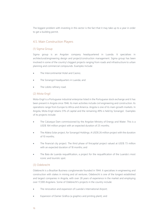The biggest problem with investing in this sector is the fact that it may take up to a year in order to get a building permit.

#### 4.5. Main Construction Players

#### (1) Sigma Group

Sigma group is an Angolan company headquartered in Luanda. It specialises in architectural/engineering design and project/construction management. Sigma group has been involved in some of the country's biggest projects ranging from roads and infrastructiure to urban planning and commercial compounds. Examples Include:

- The Intercontinental Hotel and Casino;
- The Sonangol headquarters in Luanda; and
- The Lobito refinery road.

#### (2) Mota-Engil

Mota-Engil is a Portuguese industrial enterprise listed in the Portuguese stock exchange and it has been present in Angola since 1946. Its main activities include civil engineering and construction. Its operations range from Europe to Africa and America. Angola is one of its main growth markets. In Angola, Mota-Engil retains 51% of capital and the remaining 49% is held by Sonangol. Examples of its projects include:

- The Calueque Dam commissioned by the Angolan Ministry of Energy and Water. This is a USD\$ 164 million project with an expected duration of 25 months;
- The Aldeia Solar project, for Sonangol Holdings. A USD\$ 26 million project with the duration of 10 months;
- The financial city project. The third phase of finicapital project valued at USD\$ 73 million with an expected duration of 18 months; and
- The Baía de Luanda requalification, a project for the requalification of the Luanda´s most iconic and touristic spot.

#### (3) Odebrecht

Odebrecht is a Brazilian Business conglomerate founded in 1944. It specialises in engineering and construction with stakes in mining and oil ventures. Odebrecht is one of the longest established and largest companies in Angola, with over 28 years of experience in the market and employing over 17,000 Angolans. Some of Odebrecht's projects in the country include:

- The renovation and expansion of Luanda's International Airport;
- Expansion of Damer Gráfica (a graphics and printing plant); and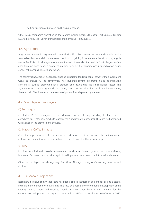The Construction of Cinfotec, an IT training college.

Other main companies operating in the market include Soares da Costa (Portuguese), Teixeira Duarte (Portuguese), Edifer (Portuguese) and Somague (Portuguese).

#### 4.6. Agriculture

Angola has outstanding agricultural potential with 58 million hectares of potentially arable land, a favourable climate, and rich water resources. Prior to gaining independence from Portugal, Angola was self-sufficient in all major crops except wheat. It was also the world's fourth largest coffee exporter, employing nearly a quarter of a million people. Other export crops included cotton, sugar cane, sisal, bananas, cassava and wood.

The country is now largely dependent on food imports to feed its people, however the government wants to change it. The government has launched several programs aimed at increasing agricultural output, promoting local produce and developing the small holder sector. The agriculture sector is also gradually recovering thanks to the rehabilitation of rural infrastructure, the removal of land mines and the return of populations displaced by the war.

#### 4.7. Main Agriculture Players

#### (1) Fertiangola

Created in 2005, Fertiangola has an extensive product offering including, fertilisers, seeds, agrochemicals, veterinary products, garden, tools and irrigation products. They are well organised with a shop in the province of Benguela.

#### (2) National Coffee Institute

Given the importance of coffee as a crop export before the independence; the national coffee institute was created to focus especially on the development of this specific crop.

#### (3) IDA

Provides technical and material assistance to subsistence farmers growing food crops (Beans, Maize and Cassava). It also provides agricultural inputs and services on credit to small scale farmers.

Other sector players include Agroway. BrasAfrica, Novagro, Lonagro, Omnia, Agromundo and Gesterra.

#### 4.8. Oil Market Projections

Recent studies have shown that there has been a spiked increase in demand for oil and a steady increase in the demand for natural gas. This may be a result of the continuing development of the country's infrastructure and need to rebuild its cities after the civil war. Demand for the consumption oil products is expected to rise from 6408ktoe to almost 10,000ktoe in 2020.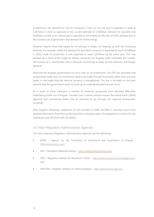Furthermore, the demand for fuel for transports is also on the rise and is expected to peak at 5,457ktoe in 2020 as opposed to the current demand of 3,360ktoe. Demand for Gasoline and Distillates, as well as for natural gas is expected to rise sharply by the year of 2020, perhaps due to the increase use of generators and demand for home energy.

However, figures show that supply for oil and gas is simply not keeping up with the increasing demand. For example, whilst the demand for petroleum products is expected to reach 10,000ktoe in 2020, crude oil production is only expected to reach 2,050ktoe by the same year. This may perhaps be a result of the single oil refinery owned by the Angolan state. Eventually the number will increase to 3, nevertheless, this is obviously not enough to keep up with domestic and foreign demand.

Note that the Angolan government has strict rules on oil investments. The 2011 law stipulates that all payments made from oil investments need to be made through local banks rather than overseas banks, in the hopes that the national currency is strengthened. This aim is founded on the basic premise that the government wants to build up its underdeveloped financial sector.

As a result of these measures, a handful of American businesses have reported difficulties repatriating profits out of Angola. Transfers over a certain amount require the central bank's (BNA) approval and commercial banks may be reluctant to go through the required bureaucratic processes.

After Angola's temporary suspension of wire transfers in 2009, the BNA is requiring much more detailed information from the transferring entity, including copies of employment contracts for any individuals paid off-shore with US dollars.

#### 4.9. Main Regulators Administrative Agencies

The most important Regulators Administrative Agencies are the followings:

- APIEX Agency for the Promotion of Investment and Exportation of Angola [http://www.anip.co.ao/;](http://www.anip.co.ao/)
- INP Petroleum National Institute [http://institutodepetroleos.org/;](http://institutodepetroleos.org/)
- IRSE Regulator Institute for the Electric Sector [http://www.irse.gov.ao/homepage.aspx/;](http://www.irse.gov.ao/homepage.aspx/)  and
- INACOM Angolan Institute of Communications [http://www.inacom.gov.ao/.](http://www.inacom.gov.ao/)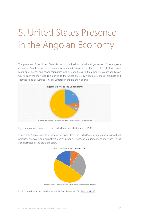## United States Presence in the Angolan Economy

The presence of the United States is mainly confined to the oil and gas sector of the Angolan economy. Angola's vast oil reserves have attracted companies of the likes of the historic Exxon Mobil and Chevron and newer companies such as Cobalt, Vaalco, Marathon Petroleum and Falcon Oil. As such the main goods exported to the United States by Angola are energy products and chemicals and derivatives. This is illustrated in the pie chart below:



Fig.2. Main goods exported to the United States in 2014 Source: KPMG

Conversely, Angola imports a vast array of goods from the United States, ranging from agricultural products, chemicals and derivatives, energy products, transport equipment and machines. This is also illustrated in the pie chart below:





Fig.3. Main Goods imported from the United States in 2014 Source KPMG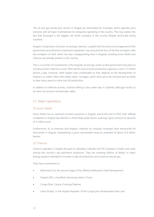The oil and gas-production sectors in Angola are dominated by Sonangol, which operates joint ventures with all major multinational oil companies operating in the country. This may explain the fact that Sonangol is the biggest net worth company in the country despite technically being insolvent.

Angola's rising levels of proven oil and gas reserves, coupled with the active encouragement of the government and attractive investment sweeteners, has ensured that four of the five oil majors (with the exception of shell, which has had a disappointing time in Angola) including Exxon Mobil and Chevron are already present in the country.

This is crucial for US investments in the Angolan oil and gas sector as the government has plans to increase proven reserves to over 25bn barrels and to boost production capacity to over 2.5 million barrels a day. However, both targets look unattainable as they depend on the development of Angola's so called "Ultra-Ultra-deep-water" acreages, which have yet to be licenced and are likely to take many years to come into full production.

In addition to offshore activity, onshore drilling is also under way in Cabinda, although results so far have not proved commercially viable.

#### 5.1. Major operations

#### (1) Exxon-Mobil

Exxon-Mobil has an upstream business presence in Angola, and at the end of 2012, their affiliate companies in Angola had interests in three deep water blocks covering a gross amount of upwards of 3 million acres.

Furthermore, its co-ventures and Angola's national oil company Sonangol have announced 44 discoveries in Angola, representing a gross recoverable resource potential of about 12.4 billion barrels.

#### (2) Chevron

Chevron operates in Angola through its subsidiary Cabinda Gulf Oil Company Limited, and ranks among the country's top petroleum producers. They are investing billions of dollars in major energy projects intended to increase crude oil production and conserve natural gas.

They have investments in:

- Mafumeira Sul, the second stage of the offshore Mafumeira Field development;
- Angola LNG, a liquefied natural gas plant in Soyo;
- Congo River Canyon Crossing Pipeline;
- Lianzi Project, in the Angola-Republic of the Congo joint development area; and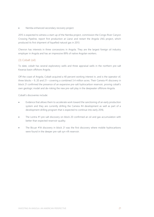Nemba enhanced secondary recovery project.

2015 is expected to witness a start-up of the Nemba project, commission the Congo River Canyon Crossing Pipeline, report first production at Lianzi and restart the Angola LNG project, which produced its first shipment of liquefied natural gas in 2013.

Chevron has interests in three concessions in Angola. They are the largest foreign oil industry employer in Angola and has an impressive 89% of native Angolan workers.

#### (3) Cobalt (oil)

To date, cobalt has several exploratory wells and three appraisal wells in the northern pre-salt Kwanza basin offshore Angola.

Off the coast of Angola, Cobalt acquired a 40 percent working interest in, and is the operator of, three blocks – 9, 20 and 21 – covering a combined 3.4 million acres. Their Cameia #1 discovery in block 21 confirmed the presence of an expansive pre-salt hydrocarbon reservoir, proving cobalt's own geologic model and de-risking the new pre-salt play in the deepwater offshore Angola.

Cobalt's discoveries include:

- Evidence that allows them to accelerate work toward the sanctioning of an early production system and they are currently drilling the Cameia #4 development as well as part of a development drilling program that is expected to continue into early 2016;
- The Lontra #1 pre salt discovery on block 20 confirmed an oil and gas accumulation with better than expected reservoir quality;
- The Bicuar #1A discovery in block 21 was the first discovery where mobile hydrocarbons were found in the deeper pre-salt syn-rift reservoir.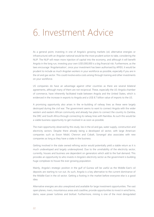### 6. Investment Advice

As a general point, investing in one of Angola's growing markets (oil, alternative energies or infrastructure) with an Angolan national would be the most prudent action to take, considering the NLIP. The NLIP will mean more injection of capital into the economy, and although it will benefit Angola in the long run, investing your own US\$1,000,000 is a big financial risk. Furthermore, as the laws encourage 'Angolanisation', once your investment has been authorised by APIEX, it would be prudent to include as much Angolan workers in your workforce as possible, especially if you are in the oil and gas sector. This could involve extra costs arising through training and other investments on your workforce.

US companies do have an advantage against other countries as there are several bilateral agreements, although many of them are not reciprocal. These, especially the US-Angola chamber of commerce, have inherently facilitated trade between Angola and the United States, which is evidenced in the increase in exports to Angola and a US\$ 8.7 billion value of imports to the US.

A promising opportunity also arises in the re-building of railway lines as these were largely destroyed during the civil war. The government seems to want to connect Angola with the wider western and eastern African community and already has plans to connect the country to Zambia, the DRC and South Africa through connecting its railway lines with Namibia. As such this would be a viable business opportunity to get involved in as soon as possible.

The main opportunity observed by this study, lies in the oil and gas, water supply, construction and electricity sectors. Despite there already being a developed oil sector, with large American companies such as Exxon Mobil, Chevron and Cobalt, Sonangol also associates with new companies as long as they have a stake in the business.

Getting involved in the state owned refining sector would potentially yield a stable return as it is much undeveloped and largely underexplored. Due to the unreliability of the electricity sector, currently, houses and business are dependent on generators which add to the fuel demand. This provides an opportunity to who invests in Angola's electricity sector as the government is building huge complexes to house the ever growing population.

Mainly, Angola's strategic position in the gulf of Guinea will be useful as the Middle-East's oil deposits are starting to run out. As such, Angola is a key alternative to the current dominance of the Middle-East in the oil sector. Getting a footing in the market before everyone else is a good idea.

Alternative energies are also unexplored and available for large investment opportunities. The vast open planes, rivers, mountainous areas and coastline, provide opportunities to invest in wind farms, dams, wave power turbines and biofuel. Furthermore, mining is one of the most deregulated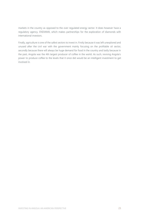markets in the country as opposed to the over regulated energy sector. It does however have a regulatory agency, ENDIAMA, which makes partnerships for the exploration of diamonds with international investors.

Finally, agriculture is one of the safest sectors to invest in. Firstly because it was left unexplored and unused after the civil war with the government mainly focusing on the profitable oil sector, secondly because there will always be huge demand for food in the country and lastly because in the past, Angola was the 4th largest producer of coffee in the world. As such, reviving Angola's power to produce coffee to the levels that it once did would be an intelligent investment to get involved in.